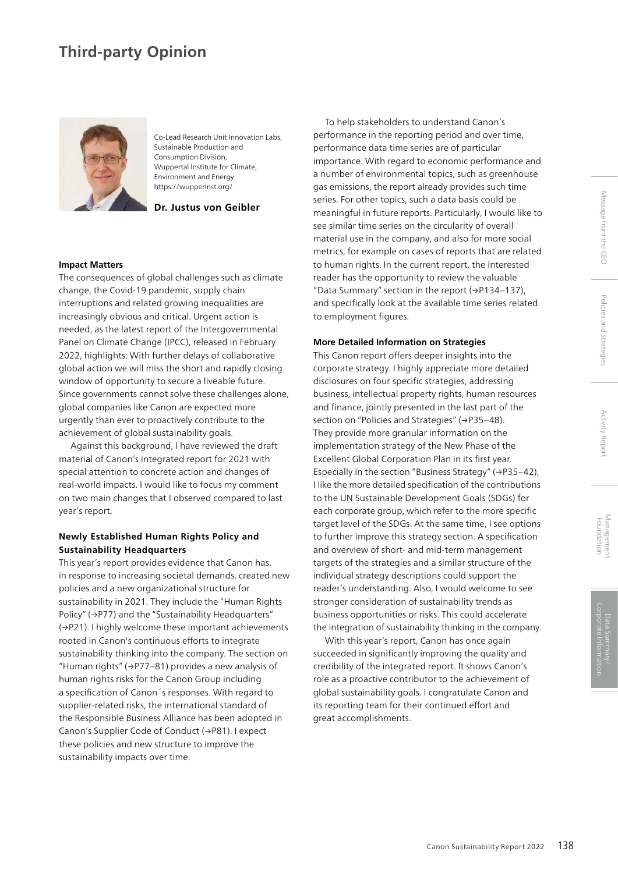# **Third-party Opinion**



Co-Lead Research Unit Innovation Labs, Sustainable Production and Consumption Division, Wuppertal Institute for Climate, Environment and Energy https://wupperinst.org/

**Dr. Justus von Geibler**

### **Impact Matters**

The consequences of global challenges such as climate change, the Covid-19 pandemic, supply chain interruptions and related growing inequalities are increasingly obvious and critical. Urgent action is needed, as the latest report of the Intergovernmental Panel on Climate Change (IPCC), released in February 2022, highlights: With further delays of collaborative global action we will miss the short and rapidly closing window of opportunity to secure a liveable future. Since governments cannot solve these challenges alone, global companies like Canon are expected more urgently than ever to proactively contribute to the achievement of global sustainability goals.

Against this background, I have reviewed the draft material of Canon's integrated report for 2021 with special attention to concrete action and changes of real-world impacts. I would like to focus my comment on two main changes that I observed compared to last year's report.

## **Newly Established Human Rights Policy and Sustainability Headquarters**

This year's report provides evidence that Canon has, in response to increasing societal demands, created new policies and a new organizational structure for sustainability in 2021. They include the "Human Rights Policy" (→P77) and the "Sustainability Headquarters" (→P21). I highly welcome these important achievements rooted in Canon's continuous efforts to integrate sustainability thinking into the company. The section on "Human rights" (→P77–81) provides a new analysis of human rights risks for the Canon Group including a specification of Canon´s responses. With regard to supplier-related risks, the international standard of the Responsible Business Alliance has been adopted in Canon's Supplier Code of Conduct (→P81). I expect these policies and new structure to improve the sustainability impacts over time.

To help stakeholders to understand Canon's performance in the reporting period and over time, performance data time series are of particular importance. With regard to economic performance and a number of environmental topics, such as greenhouse gas emissions, the report already provides such time series. For other topics, such a data basis could be meaningful in future reports. Particularly, I would like to see similar time series on the circularity of overall material use in the company, and also for more social metrics, for example on cases of reports that are related to human rights. In the current report, the interested reader has the opportunity to review the valuable "Data Summary" section in the report (→P134–137), and specifically look at the available time series related to employment figures.

#### **More Detailed Information on Strategies**

This Canon report offers deeper insights into the corporate strategy. I highly appreciate more detailed disclosures on four specific strategies, addressing business, intellectual property rights, human resources and finance, jointly presented in the last part of the section on "Policies and Strategies" (→P35-48). They provide more granular information on the implementation strategy of the New Phase of the Excellent Global Corporation Plan in its first year. Especially in the section "Business Strategy" (→P35–42), I like the more detailed specification of the contributions to the UN Sustainable Development Goals (SDGs) for each corporate group, which refer to the more specific target level of the SDGs. At the same time, I see options to further improve this strategy section. A specification and overview of short- and mid-term management targets of the strategies and a similar structure of the individual strategy descriptions could support the reader's understanding. Also, I would welcome to see stronger consideration of sustainability trends as business opportunities or risks. This could accelerate the integration of sustainability thinking in the company.

With this year's report, Canon has once again succeeded in significantly improving the quality and credibility of the integrated report. It shows Canon's role as a proactive contributor to the achievement of global sustainability goals. I congratulate Canon and its reporting team for their continued effort and great accomplishments.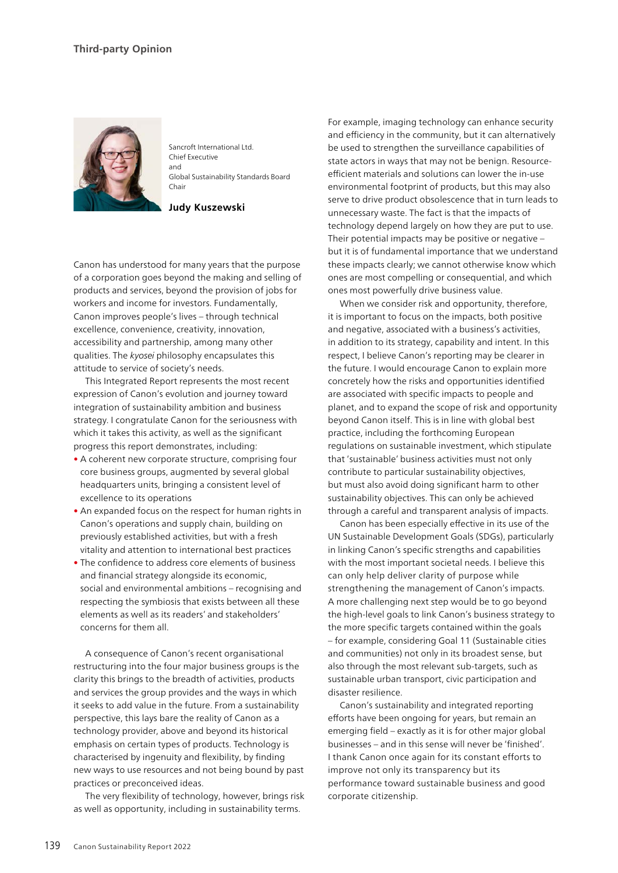

Sancroft International Ltd. Chief Executive and Global Sustainability Standards Board Chair

**Judy Kuszewski**

Canon has understood for many years that the purpose of a corporation goes beyond the making and selling of products and services, beyond the provision of jobs for workers and income for investors. Fundamentally, Canon improves people's lives – through technical excellence, convenience, creativity, innovation, accessibility and partnership, among many other qualities. The *kyosei* philosophy encapsulates this attitude to service of society's needs.

This Integrated Report represents the most recent expression of Canon's evolution and journey toward integration of sustainability ambition and business strategy. I congratulate Canon for the seriousness with which it takes this activity, as well as the significant progress this report demonstrates, including:

- A coherent new corporate structure, comprising four core business groups, augmented by several global headquarters units, bringing a consistent level of excellence to its operations
- An expanded focus on the respect for human rights in Canon's operations and supply chain, building on previously established activities, but with a fresh vitality and attention to international best practices
- The confidence to address core elements of business and financial strategy alongside its economic, social and environmental ambitions – recognising and respecting the symbiosis that exists between all these elements as well as its readers' and stakeholders' concerns for them all.

A consequence of Canon's recent organisational restructuring into the four major business groups is the clarity this brings to the breadth of activities, products and services the group provides and the ways in which it seeks to add value in the future. From a sustainability perspective, this lays bare the reality of Canon as a technology provider, above and beyond its historical emphasis on certain types of products. Technology is characterised by ingenuity and flexibility, by finding new ways to use resources and not being bound by past practices or preconceived ideas.

The very flexibility of technology, however, brings risk as well as opportunity, including in sustainability terms.

For example, imaging technology can enhance security and efficiency in the community, but it can alternatively be used to strengthen the surveillance capabilities of state actors in ways that may not be benign. Resourceefficient materials and solutions can lower the in-use environmental footprint of products, but this may also serve to drive product obsolescence that in turn leads to unnecessary waste. The fact is that the impacts of technology depend largely on how they are put to use. Their potential impacts may be positive or negative – but it is of fundamental importance that we understand these impacts clearly; we cannot otherwise know which ones are most compelling or consequential, and which ones most powerfully drive business value.

When we consider risk and opportunity, therefore, it is important to focus on the impacts, both positive and negative, associated with a business's activities, in addition to its strategy, capability and intent. In this respect, I believe Canon's reporting may be clearer in the future. I would encourage Canon to explain more concretely how the risks and opportunities identified are associated with specific impacts to people and planet, and to expand the scope of risk and opportunity beyond Canon itself. This is in line with global best practice, including the forthcoming European regulations on sustainable investment, which stipulate that 'sustainable' business activities must not only contribute to particular sustainability objectives, but must also avoid doing significant harm to other sustainability objectives. This can only be achieved through a careful and transparent analysis of impacts.

Canon has been especially effective in its use of the UN Sustainable Development Goals (SDGs), particularly in linking Canon's specific strengths and capabilities with the most important societal needs. I believe this can only help deliver clarity of purpose while strengthening the management of Canon's impacts. A more challenging next step would be to go beyond the high-level goals to link Canon's business strategy to the more specific targets contained within the goals – for example, considering Goal 11 (Sustainable cities and communities) not only in its broadest sense, but also through the most relevant sub-targets, such as sustainable urban transport, civic participation and disaster resilience.

Canon's sustainability and integrated reporting efforts have been ongoing for years, but remain an emerging field – exactly as it is for other major global businesses – and in this sense will never be 'finished'. I thank Canon once again for its constant efforts to improve not only its transparency but its performance toward sustainable business and good corporate citizenship.